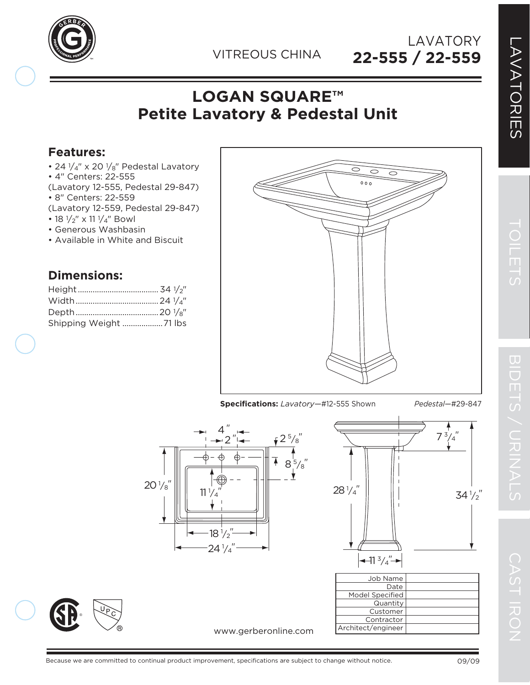

**22-555 / 22-559** LAVATORY

## **LOGAN SQUARE™ Petite Lavatory & Pedestal Unit**

## **Features:**

- 24  $1/4$ " x 20  $1/8$ " Pedestal Lavatory
- 4" Centers: 22-555
- (Lavatory 12-555, Pedestal 29-847)
- 8" Centers: 22-559
- (Lavatory 12-559, Pedestal 29-847)
- 18  $1/2''$  x 11  $1/4''$  Bowl
- Generous Washbasin
- Available in White and Biscuit

## **Dimensions:**

®

| Shipping Weight 71 lbs |
|------------------------|
|                        |

 $20\frac{1}{8}$ 



**Specifications:** *Lavatory—*#12-555 Shown *Pedestal—*#29-847





**Contractor** Architect/engineer

www.gerberonline.com

 $\overline{\mathbf{U}}$